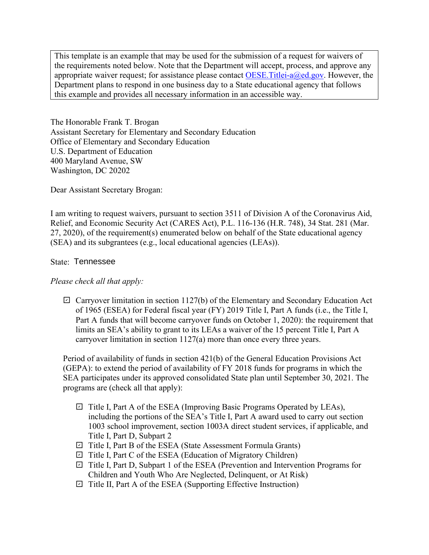Department plans to respond in one business day to a State educational agency that follows This template is an example that may be used for the submission of a request for waivers of the requirements noted below. Note that the Department will accept, process, and approve any appropriate waiver request; for assistance please contact OESE. Titlei- $a(\theta)$ ed.gov. However, the this example and provides all necessary information in an accessible way.

The Honorable Frank T. Brogan Assistant Secretary for Elementary and Secondary Education Office of Elementary and Secondary Education U.S. Department of Education 400 Maryland Avenue, SW Washington, DC 20202

Dear Assistant Secretary Brogan:

 I am writing to request waivers, pursuant to section 3511 of Division A of the Coronavirus Aid, (SEA) and its subgrantees (e.g., local educational agencies (LEAs)). Relief, and Economic Security Act (CARES Act), P.L. 116-136 (H.R. 748), 34 Stat. 281 (Mar. 27, 2020), of the requirement(s) enumerated below on behalf of the State educational agency

## State: Tennessee

## *Please check all that apply:*

 of 1965 (ESEA) for Federal fiscal year (FY) 2019 Title I, Part A funds (i.e., the Title I,  $\boxdot$  Carryover limitation in section 1127(b) of the Elementary and Secondary Education Act Part A funds that will become carryover funds on October 1, 2020): the requirement that limits an SEA's ability to grant to its LEAs a waiver of the 15 percent Title I, Part A carryover limitation in section 1127(a) more than once every three years.

Period of availability of funds in section 421(b) of the General Education Provisions Act (GEPA): to extend the period of availability of FY 2018 funds for programs in which the SEA participates under its approved consolidated State plan until September 30, 2021. The programs are (check all that apply):

- $\boxdot$  Title I, Part A of the ESEA (Improving Basic Programs Operated by LEAs), including the portions of the SEA's Title I, Part A award used to carry out section 1003 school improvement, section 1003A direct student services, if applicable, and Title I, Part D, Subpart 2
- Title I, Part B of the ESEA (State Assessment Formula Grants) ✔
- $\boxdot$  Title I, Part C of the ESEA (Education of Migratory Children)
- $\boxdot$  Title I, Part D, Subpart 1 of the ESEA (Prevention and Intervention Programs for Children and Youth Who Are Neglected, Delinquent, or At Risk)
- $\boxdot$  Title II, Part A of the ESEA (Supporting Effective Instruction)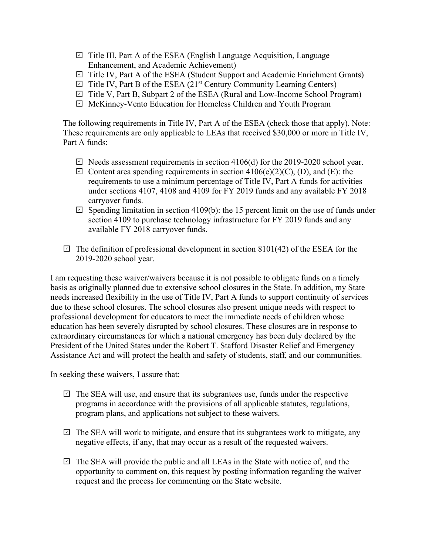- □ Title III, Part A of the ESEA (English Language Acquisition, Language Enhancement, and Academic Achievement)
- Title IV, Part A of the ESEA (Student Support and Academic Enrichment Grants) ✔
- $\Box$  Title IV, Part B of the ESEA (21<sup>st</sup> Century Community Learning Centers)
- Title V, Part B, Subpart 2 of the ESEA (Rural and Low-Income School Program) ✔
- McKinney-Vento Education for Homeless Children and Youth Program ✔

The following requirements in Title IV, Part A of the ESEA (check those that apply). Note: These requirements are only applicable to LEAs that received \$30,000 or more in Title IV, Part A funds:

- $\boxdot$  Needs assessment requirements in section 4106(d) for the 2019-2020 school year.
- requirements to use a minimum percentage of Title IV, Part A funds for activities  $\Box$  Content area spending requirements in section 4106(e)(2)(C), (D), and (E): the under sections 4107, 4108 and 4109 for FY 2019 funds and any available FY 2018 carryover funds.
- $\boxdot$  Spending limitation in section 4109(b): the 15 percent limit on the use of funds under section 4109 to purchase technology infrastructure for FY 2019 funds and any available FY 2018 carryover funds.
- $\boxdot$  The definition of professional development in section 8101(42) of the ESEA for the 2019-2020 school year.

 due to these school closures. The school closures also present unique needs with respect to professional development for educators to meet the immediate needs of children whose Assistance Act and will protect the health and safety of students, staff, and our communities. I am requesting these waiver/waivers because it is not possible to obligate funds on a timely basis as originally planned due to extensive school closures in the State. In addition, my State needs increased flexibility in the use of Title IV, Part A funds to support continuity of services education has been severely disrupted by school closures. These closures are in response to extraordinary circumstances for which a national emergency has been duly declared by the President of the United States under the Robert T. Stafford Disaster Relief and Emergency

In seeking these waivers, I assure that:

- $\boxdot$  The SEA will use, and ensure that its subgrantees use, funds under the respective programs in accordance with the provisions of all applicable statutes, regulations, program plans, and applications not subject to these waivers.
- $\boxdot$  The SEA will work to mitigate, and ensure that its subgrantees work to mitigate, any negative effects, if any, that may occur as a result of the requested waivers.
- $\boxdot$  The SEA will provide the public and all LEAs in the State with notice of, and the opportunity to comment on, this request by posting information regarding the waiver request and the process for commenting on the State website.